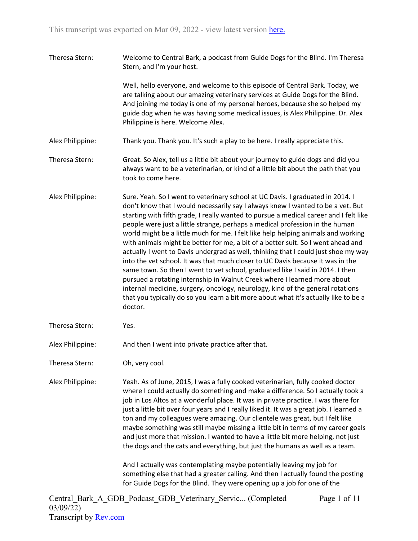Theresa Stern: Welcome to Central Bark, a podcast from Guide Dogs for the Blind. I'm Theresa Stern, and I'm your host.

> Well, hello everyone, and welcome to this episode of Central Bark. Today, we are talking about our amazing veterinary services at Guide Dogs for the Blind. And joining me today is one of my personal heroes, because she so helped my guide dog when he was having some medical issues, is Alex Philippine. Dr. Alex Philippine is here. Welcome Alex.

- Alex Philippine: Thank you. Thank you. It's such a play to be here. I really appreciate this.
- Theresa Stern: Great. So Alex, tell us a little bit about your journey to guide dogs and did you always want to be a veterinarian, or kind of a little bit about the path that you took to come here.
- Alex Philippine: Sure. Yeah. So I went to veterinary school at UC Davis. I graduated in 2014. I don't know that I would necessarily say I always knew I wanted to be a vet. But starting with fifth grade, I really wanted to pursue a medical career and I felt like people were just a little strange, perhaps a medical profession in the human world might be a little much for me. I felt like help helping animals and working with animals might be better for me, a bit of a better suit. So I went ahead and actually I went to Davis undergrad as well, thinking that I could just shoe my way into the vet school. It was that much closer to UC Davis because it was in the same town. So then I went to vet school, graduated like I said in 2014. I then pursued a rotating internship in Walnut Creek where I learned more about internal medicine, surgery, oncology, neurology, kind of the general rotations that you typically do so you learn a bit more about what it's actually like to be a doctor.
- Theresa Stern: Yes.

Alex Philippine: And then I went into private practice after that.

Theresa Stern: Oh, very cool.

Alex Philippine: Yeah. As of June, 2015, I was a fully cooked veterinarian, fully cooked doctor where I could actually do something and make a difference. So I actually took a job in Los Altos at a wonderful place. It was in private practice. I was there for just a little bit over four years and I really liked it. It was a great job. I learned a ton and my colleagues were amazing. Our clientele was great, but I felt like maybe something was still maybe missing a little bit in terms of my career goals and just more that mission. I wanted to have a little bit more helping, not just the dogs and the cats and everything, but just the humans as well as a team.

> And I actually was contemplating maybe potentially leaving my job for something else that had a greater calling. And then I actually found the posting for Guide Dogs for the Blind. They were opening up a job for one of the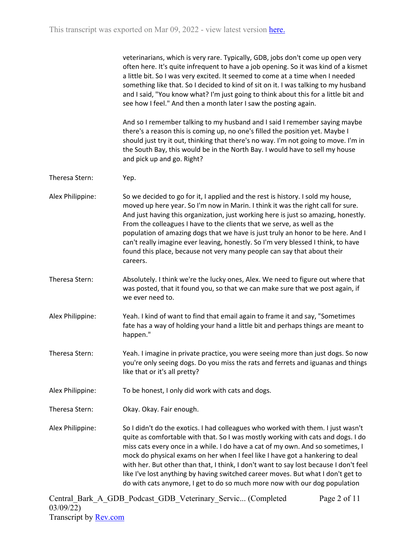veterinarians, which is very rare. Typically, GDB, jobs don't come up open very often here. It's quite infrequent to have a job opening. So it was kind of a kismet a little bit. So I was very excited. It seemed to come at a time when I needed something like that. So I decided to kind of sit on it. I was talking to my husband and I said, "You know what? I'm just going to think about this for a little bit and see how I feel." And then a month later I saw the posting again.

And so I remember talking to my husband and I said I remember saying maybe there's a reason this is coming up, no one's filled the position yet. Maybe I should just try it out, thinking that there's no way. I'm not going to move. I'm in the South Bay, this would be in the North Bay. I would have to sell my house and pick up and go. Right?

- Theresa Stern: Yep.
- Alex Philippine: So we decided to go for it, I applied and the rest is history. I sold my house, moved up here year. So I'm now in Marin. I think it was the right call for sure. And just having this organization, just working here is just so amazing, honestly. From the colleagues I have to the clients that we serve, as well as the population of amazing dogs that we have is just truly an honor to be here. And I can't really imagine ever leaving, honestly. So I'm very blessed I think, to have found this place, because not very many people can say that about their careers.
- Theresa Stern: Absolutely. I think we're the lucky ones, Alex. We need to figure out where that was posted, that it found you, so that we can make sure that we post again, if we ever need to.
- Alex Philippine: Yeah. I kind of want to find that email again to frame it and say, "Sometimes fate has a way of holding your hand a little bit and perhaps things are meant to happen."
- Theresa Stern: Yeah. I imagine in private practice, you were seeing more than just dogs. So now you're only seeing dogs. Do you miss the rats and ferrets and iguanas and things like that or it's all pretty?
- Alex Philippine: To be honest, I only did work with cats and dogs.
- Theresa Stern: Okay. Okay. Fair enough.
- Alex Philippine: So I didn't do the exotics. I had colleagues who worked with them. I just wasn't quite as comfortable with that. So I was mostly working with cats and dogs. I do miss cats every once in a while. I do have a cat of my own. And so sometimes, I mock do physical exams on her when I feel like I have got a hankering to deal with her. But other than that, I think, I don't want to say lost because I don't feel like I've lost anything by having switched career moves. But what I don't get to do with cats anymore, I get to do so much more now with our dog population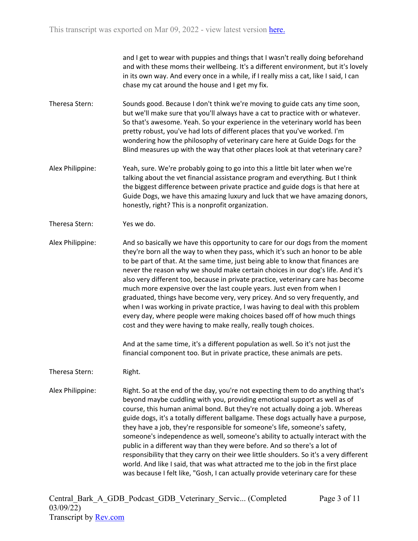and I get to wear with puppies and things that I wasn't really doing beforehand and with these moms their wellbeing. It's a different environment, but it's lovely in its own way. And every once in a while, if I really miss a cat, like I said, I can chase my cat around the house and I get my fix.

- Theresa Stern: Sounds good. Because I don't think we're moving to guide cats any time soon, but we'll make sure that you'll always have a cat to practice with or whatever. So that's awesome. Yeah. So your experience in the veterinary world has been pretty robust, you've had lots of different places that you've worked. I'm wondering how the philosophy of veterinary care here at Guide Dogs for the Blind measures up with the way that other places look at that veterinary care?
- Alex Philippine: Yeah, sure. We're probably going to go into this a little bit later when we're talking about the vet financial assistance program and everything. But I think the biggest difference between private practice and guide dogs is that here at Guide Dogs, we have this amazing luxury and luck that we have amazing donors, honestly, right? This is a nonprofit organization.
- Theresa Stern: Yes we do.

Alex Philippine: And so basically we have this opportunity to care for our dogs from the moment they're born all the way to when they pass, which it's such an honor to be able to be part of that. At the same time, just being able to know that finances are never the reason why we should make certain choices in our dog's life. And it's also very different too, because in private practice, veterinary care has become much more expensive over the last couple years. Just even from when I graduated, things have become very, very pricey. And so very frequently, and when I was working in private practice, I was having to deal with this problem every day, where people were making choices based off of how much things cost and they were having to make really, really tough choices.

> And at the same time, it's a different population as well. So it's not just the financial component too. But in private practice, these animals are pets.

Theresa Stern: Right.

Alex Philippine: Right. So at the end of the day, you're not expecting them to do anything that's beyond maybe cuddling with you, providing emotional support as well as of course, this human animal bond. But they're not actually doing a job. Whereas guide dogs, it's a totally different ballgame. These dogs actually have a purpose, they have a job, they're responsible for someone's life, someone's safety, someone's independence as well, someone's ability to actually interact with the public in a different way than they were before. And so there's a lot of responsibility that they carry on their wee little shoulders. So it's a very different world. And like I said, that was what attracted me to the job in the first place was because I felt like, "Gosh, I can actually provide veterinary care for these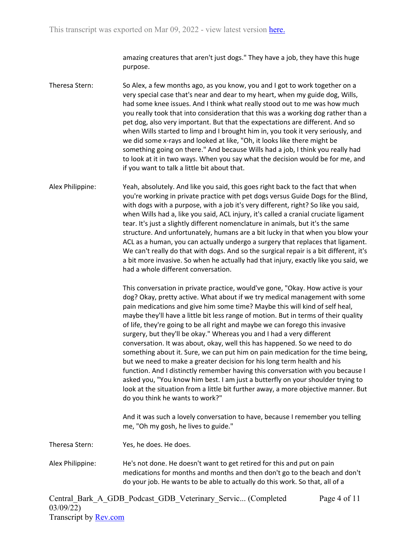amazing creatures that aren't just dogs." They have a job, they have this huge purpose.

Theresa Stern: So Alex, a few months ago, as you know, you and I got to work together on a very special case that's near and dear to my heart, when my guide dog, Wills, had some knee issues. And I think what really stood out to me was how much you really took that into consideration that this was a working dog rather than a pet dog, also very important. But that the expectations are different. And so when Wills started to limp and I brought him in, you took it very seriously, and we did some x-rays and looked at like, "Oh, it looks like there might be something going on there." And because Wills had a job, I think you really had to look at it in two ways. When you say what the decision would be for me, and if you want to talk a little bit about that.

Alex Philippine: Yeah, absolutely. And like you said, this goes right back to the fact that when you're working in private practice with pet dogs versus Guide Dogs for the Blind, with dogs with a purpose, with a job it's very different, right? So like you said, when Wills had a, like you said, ACL injury, it's called a cranial cruciate ligament tear. It's just a slightly different nomenclature in animals, but it's the same structure. And unfortunately, humans are a bit lucky in that when you blow your ACL as a human, you can actually undergo a surgery that replaces that ligament. We can't really do that with dogs. And so the surgical repair is a bit different, it's a bit more invasive. So when he actually had that injury, exactly like you said, we had a whole different conversation.

> This conversation in private practice, would've gone, "Okay. How active is your dog? Okay, pretty active. What about if we try medical management with some pain medications and give him some time? Maybe this will kind of self heal, maybe they'll have a little bit less range of motion. But in terms of their quality of life, they're going to be all right and maybe we can forego this invasive surgery, but they'll be okay." Whereas you and I had a very different conversation. It was about, okay, well this has happened. So we need to do something about it. Sure, we can put him on pain medication for the time being, but we need to make a greater decision for his long term health and his function. And I distinctly remember having this conversation with you because I asked you, "You know him best. I am just a butterfly on your shoulder trying to look at the situation from a little bit further away, a more objective manner. But do you think he wants to work?"

And it was such a lovely conversation to have, because I remember you telling me, "Oh my gosh, he lives to guide."

Theresa Stern: Yes, he does. He does.

Alex Philippine: He's not done. He doesn't want to get retired for this and put on pain medications for months and months and then don't go to the beach and don't do your job. He wants to be able to actually do this work. So that, all of a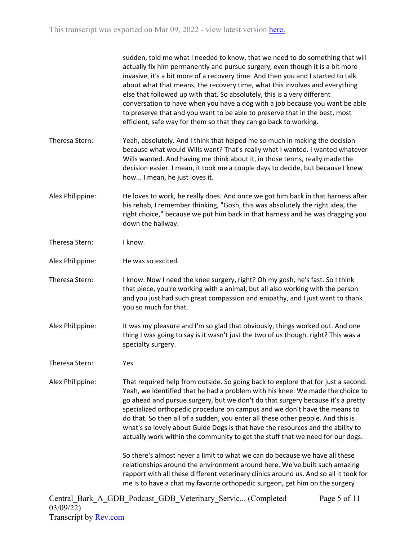|                  | sudden, told me what I needed to know, that we need to do something that will<br>actually fix him permanently and pursue surgery, even though it is a bit more<br>invasive, it's a bit more of a recovery time. And then you and I started to talk<br>about what that means, the recovery time, what this involves and everything<br>else that followed up with that. So absolutely, this is a very different<br>conversation to have when you have a dog with a job because you want be able<br>to preserve that and you want to be able to preserve that in the best, most<br>efficient, safe way for them so that they can go back to working. |
|------------------|---------------------------------------------------------------------------------------------------------------------------------------------------------------------------------------------------------------------------------------------------------------------------------------------------------------------------------------------------------------------------------------------------------------------------------------------------------------------------------------------------------------------------------------------------------------------------------------------------------------------------------------------------|
| Theresa Stern:   | Yeah, absolutely. And I think that helped me so much in making the decision<br>because what would Wills want? That's really what I wanted. I wanted whatever<br>Wills wanted. And having me think about it, in those terms, really made the<br>decision easier. I mean, it took me a couple days to decide, but because I knew<br>how I mean, he just loves it.                                                                                                                                                                                                                                                                                   |
| Alex Philippine: | He loves to work, he really does. And once we got him back in that harness after<br>his rehab, I remember thinking, "Gosh, this was absolutely the right idea, the<br>right choice," because we put him back in that harness and he was dragging you<br>down the hallway.                                                                                                                                                                                                                                                                                                                                                                         |
| Theresa Stern:   | I know.                                                                                                                                                                                                                                                                                                                                                                                                                                                                                                                                                                                                                                           |
| Alex Philippine: | He was so excited.                                                                                                                                                                                                                                                                                                                                                                                                                                                                                                                                                                                                                                |
| Theresa Stern:   | I know. Now I need the knee surgery, right? Oh my gosh, he's fast. So I think<br>that piece, you're working with a animal, but all also working with the person<br>and you just had such great compassion and empathy, and I just want to thank<br>you so much for that.                                                                                                                                                                                                                                                                                                                                                                          |
| Alex Philippine: | It was my pleasure and I'm so glad that obviously, things worked out. And one<br>thing I was going to say is it wasn't just the two of us though, right? This was a<br>specialty surgery.                                                                                                                                                                                                                                                                                                                                                                                                                                                         |
| Theresa Stern:   | Yes.                                                                                                                                                                                                                                                                                                                                                                                                                                                                                                                                                                                                                                              |
| Alex Philippine: | That required help from outside. So going back to explore that for just a second.<br>Yeah, we identified that he had a problem with his knee. We made the choice to<br>go ahead and pursue surgery, but we don't do that surgery because it's a pretty<br>specialized orthopedic procedure on campus and we don't have the means to<br>do that. So then all of a sudden, you enter all these other people. And this is<br>what's so lovely about Guide Dogs is that have the resources and the ability to<br>actually work within the community to get the stuff that we need for our dogs.                                                       |
|                  | So there's almost never a limit to what we can do because we have all these<br>relationships around the environment around here. We've built such amazing<br>rapport with all these different veterinary clinics around us. And so all it took for<br>me is to have a chat my favorite orthopedic surgeon, get him on the surgery                                                                                                                                                                                                                                                                                                                 |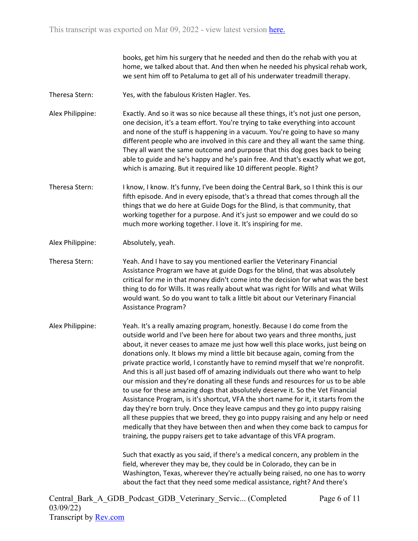books, get him his surgery that he needed and then do the rehab with you at home, we talked about that. And then when he needed his physical rehab work, we sent him off to Petaluma to get all of his underwater treadmill therapy.

- Theresa Stern: Yes, with the fabulous Kristen Hagler. Yes.
- Alex Philippine: Exactly. And so it was so nice because all these things, it's not just one person, one decision, it's a team effort. You're trying to take everything into account and none of the stuff is happening in a vacuum. You're going to have so many different people who are involved in this care and they all want the same thing. They all want the same outcome and purpose that this dog goes back to being able to guide and he's happy and he's pain free. And that's exactly what we got, which is amazing. But it required like 10 different people. Right?
- Theresa Stern: I know, I know. It's funny, I've been doing the Central Bark, so I think this is our fifth episode. And in every episode, that's a thread that comes through all the things that we do here at Guide Dogs for the Blind, is that community, that working together for a purpose. And it's just so empower and we could do so much more working together. I love it. It's inspiring for me.
- Alex Philippine: Absolutely, yeah.
- Theresa Stern: Yeah. And I have to say you mentioned earlier the Veterinary Financial Assistance Program we have at guide Dogs for the blind, that was absolutely critical for me in that money didn't come into the decision for what was the best thing to do for Wills. It was really about what was right for Wills and what Wills would want. So do you want to talk a little bit about our Veterinary Financial Assistance Program?
- Alex Philippine: Yeah. It's a really amazing program, honestly. Because I do come from the outside world and I've been here for about two years and three months, just about, it never ceases to amaze me just how well this place works, just being on donations only. It blows my mind a little bit because again, coming from the private practice world, I constantly have to remind myself that we're nonprofit. And this is all just based off of amazing individuals out there who want to help our mission and they're donating all these funds and resources for us to be able to use for these amazing dogs that absolutely deserve it. So the Vet Financial Assistance Program, is it's shortcut, VFA the short name for it, it starts from the day they're born truly. Once they leave campus and they go into puppy raising all these puppies that we breed, they go into puppy raising and any help or need medically that they have between then and when they come back to campus for training, the puppy raisers get to take advantage of this VFA program.

Such that exactly as you said, if there's a medical concern, any problem in the field, wherever they may be, they could be in Colorado, they can be in Washington, Texas, wherever they're actually being raised, no one has to worry about the fact that they need some medical assistance, right? And there's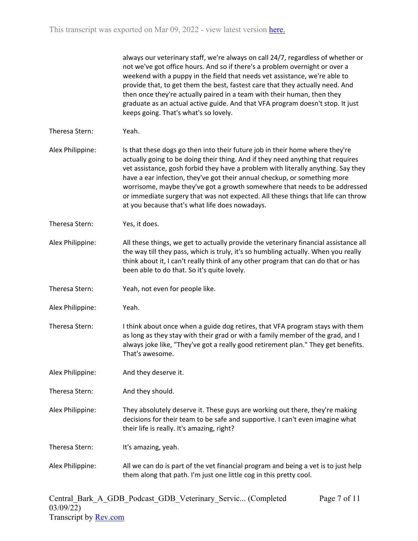|                  | always our veterinary staff, we're always on call 24/7, regardless of whether or<br>not we've got office hours. And so if there's a problem overnight or over a<br>weekend with a puppy in the field that needs vet assistance, we're able to<br>provide that, to get them the best, fastest care that they actually need. And<br>then once they're actually paired in a team with their human, then they<br>graduate as an actual active guide. And that VFA program doesn't stop. It just<br>keeps going. That's what's so lovely.                  |
|------------------|-------------------------------------------------------------------------------------------------------------------------------------------------------------------------------------------------------------------------------------------------------------------------------------------------------------------------------------------------------------------------------------------------------------------------------------------------------------------------------------------------------------------------------------------------------|
| Theresa Stern:   | Yeah.                                                                                                                                                                                                                                                                                                                                                                                                                                                                                                                                                 |
| Alex Philippine: | Is that these dogs go then into their future job in their home where they're<br>actually going to be doing their thing. And if they need anything that requires<br>vet assistance, gosh forbid they have a problem with literally anything. Say they<br>have a ear infection, they've got their annual checkup, or something more<br>worrisome, maybe they've got a growth somewhere that needs to be addressed<br>or immediate surgery that was not expected. All these things that life can throw<br>at you because that's what life does nowadays. |
| Theresa Stern:   | Yes, it does.                                                                                                                                                                                                                                                                                                                                                                                                                                                                                                                                         |
| Alex Philippine: | All these things, we get to actually provide the veterinary financial assistance all<br>the way till they pass, which is truly, it's so humbling actually. When you really<br>think about it, I can't really think of any other program that can do that or has<br>been able to do that. So it's quite lovely.                                                                                                                                                                                                                                        |
| Theresa Stern:   | Yeah, not even for people like.                                                                                                                                                                                                                                                                                                                                                                                                                                                                                                                       |
| Alex Philippine: | Yeah.                                                                                                                                                                                                                                                                                                                                                                                                                                                                                                                                                 |
| Theresa Stern:   | I think about once when a guide dog retires, that VFA program stays with them<br>as long as they stay with their grad or with a family member of the grad, and I<br>always joke like, "They've got a really good retirement plan." They get benefits.<br>That's awesome.                                                                                                                                                                                                                                                                              |
| Alex Philippine: | And they deserve it.                                                                                                                                                                                                                                                                                                                                                                                                                                                                                                                                  |
| Theresa Stern:   | And they should.                                                                                                                                                                                                                                                                                                                                                                                                                                                                                                                                      |
| Alex Philippine: | They absolutely deserve it. These guys are working out there, they're making<br>decisions for their team to be safe and supportive. I can't even imagine what<br>their life is really. It's amazing, right?                                                                                                                                                                                                                                                                                                                                           |
| Theresa Stern:   | It's amazing, yeah.                                                                                                                                                                                                                                                                                                                                                                                                                                                                                                                                   |
| Alex Philippine: | All we can do is part of the vet financial program and being a vet is to just help<br>them along that path. I'm just one little cog in this pretty cool.                                                                                                                                                                                                                                                                                                                                                                                              |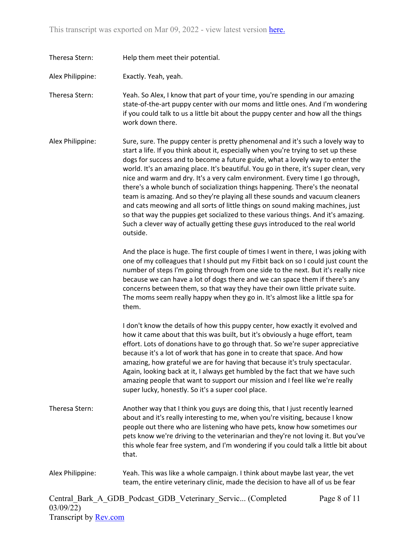Theresa Stern: Help them meet their potential.

Alex Philippine: Exactly. Yeah, yeah.

Theresa Stern: Yeah. So Alex, I know that part of your time, you're spending in our amazing state-of-the-art puppy center with our moms and little ones. And I'm wondering if you could talk to us a little bit about the puppy center and how all the things work down there.

Alex Philippine: Sure, sure. The puppy center is pretty phenomenal and it's such a lovely way to start a life. If you think about it, especially when you're trying to set up these dogs for success and to become a future guide, what a lovely way to enter the world. It's an amazing place. It's beautiful. You go in there, it's super clean, very nice and warm and dry. It's a very calm environment. Every time I go through, there's a whole bunch of socialization things happening. There's the neonatal team is amazing. And so they're playing all these sounds and vacuum cleaners and cats meowing and all sorts of little things on sound making machines, just so that way the puppies get socialized to these various things. And it's amazing. Such a clever way of actually getting these guys introduced to the real world outside.

> And the place is huge. The first couple of times I went in there, I was joking with one of my colleagues that I should put my Fitbit back on so I could just count the number of steps I'm going through from one side to the next. But it's really nice because we can have a lot of dogs there and we can space them if there's any concerns between them, so that way they have their own little private suite. The moms seem really happy when they go in. It's almost like a little spa for them.

I don't know the details of how this puppy center, how exactly it evolved and how it came about that this was built, but it's obviously a huge effort, team effort. Lots of donations have to go through that. So we're super appreciative because it's a lot of work that has gone in to create that space. And how amazing, how grateful we are for having that because it's truly spectacular. Again, looking back at it, I always get humbled by the fact that we have such amazing people that want to support our mission and I feel like we're really super lucky, honestly. So it's a super cool place.

- Theresa Stern: Another way that I think you guys are doing this, that I just recently learned about and it's really interesting to me, when you're visiting, because I know people out there who are listening who have pets, know how sometimes our pets know we're driving to the veterinarian and they're not loving it. But you've this whole fear free system, and I'm wondering if you could talk a little bit about that.
- Alex Philippine: Yeah. This was like a whole campaign. I think about maybe last year, the vet team, the entire veterinary clinic, made the decision to have all of us be fear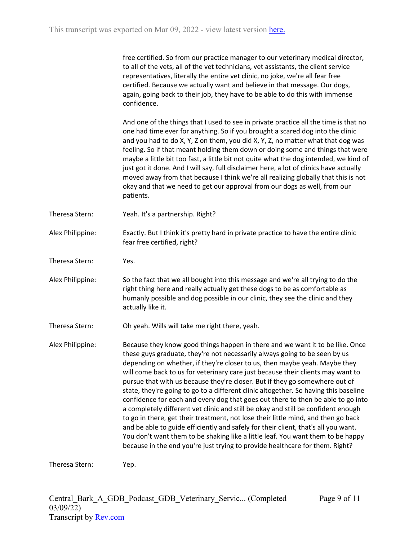free certified. So from our practice manager to our veterinary medical director, to all of the vets, all of the vet technicians, vet assistants, the client service representatives, literally the entire vet clinic, no joke, we're all fear free certified. Because we actually want and believe in that message. Our dogs, again, going back to their job, they have to be able to do this with immense confidence.

And one of the things that I used to see in private practice all the time is that no one had time ever for anything. So if you brought a scared dog into the clinic and you had to do X, Y, Z on them, you did X, Y, Z, no matter what that dog was feeling. So if that meant holding them down or doing some and things that were maybe a little bit too fast, a little bit not quite what the dog intended, we kind of just got it done. And I will say, full disclaimer here, a lot of clinics have actually moved away from that because I think we're all realizing globally that this is not okay and that we need to get our approval from our dogs as well, from our patients.

- Theresa Stern: Yeah. It's a partnership. Right?
- Alex Philippine: Exactly. But I think it's pretty hard in private practice to have the entire clinic fear free certified, right?
- Theresa Stern: Yes.
- Alex Philippine: So the fact that we all bought into this message and we're all trying to do the right thing here and really actually get these dogs to be as comfortable as humanly possible and dog possible in our clinic, they see the clinic and they actually like it.

Theresa Stern: Oh yeah. Wills will take me right there, yeah.

Alex Philippine: Because they know good things happen in there and we want it to be like. Once these guys graduate, they're not necessarily always going to be seen by us depending on whether, if they're closer to us, then maybe yeah. Maybe they will come back to us for veterinary care just because their clients may want to pursue that with us because they're closer. But if they go somewhere out of state, they're going to go to a different clinic altogether. So having this baseline confidence for each and every dog that goes out there to then be able to go into a completely different vet clinic and still be okay and still be confident enough to go in there, get their treatment, not lose their little mind, and then go back and be able to guide efficiently and safely for their client, that's all you want. You don't want them to be shaking like a little leaf. You want them to be happy because in the end you're just trying to provide healthcare for them. Right?

Theresa Stern: Yep.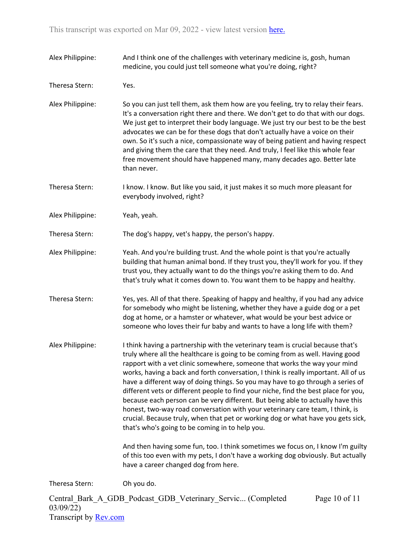| Alex Philippine: | And I think one of the challenges with veterinary medicine is, gosh, human<br>medicine, you could just tell someone what you're doing, right?                                                                                                                                                                                                                                                                                                                                                                                                                                                                                                                                                                                                                                                                              |
|------------------|----------------------------------------------------------------------------------------------------------------------------------------------------------------------------------------------------------------------------------------------------------------------------------------------------------------------------------------------------------------------------------------------------------------------------------------------------------------------------------------------------------------------------------------------------------------------------------------------------------------------------------------------------------------------------------------------------------------------------------------------------------------------------------------------------------------------------|
| Theresa Stern:   | Yes.                                                                                                                                                                                                                                                                                                                                                                                                                                                                                                                                                                                                                                                                                                                                                                                                                       |
| Alex Philippine: | So you can just tell them, ask them how are you feeling, try to relay their fears.<br>It's a conversation right there and there. We don't get to do that with our dogs.<br>We just get to interpret their body language. We just try our best to be the best<br>advocates we can be for these dogs that don't actually have a voice on their<br>own. So it's such a nice, compassionate way of being patient and having respect<br>and giving them the care that they need. And truly, I feel like this whole fear<br>free movement should have happened many, many decades ago. Better late<br>than never.                                                                                                                                                                                                                |
| Theresa Stern:   | I know. I know. But like you said, it just makes it so much more pleasant for<br>everybody involved, right?                                                                                                                                                                                                                                                                                                                                                                                                                                                                                                                                                                                                                                                                                                                |
| Alex Philippine: | Yeah, yeah.                                                                                                                                                                                                                                                                                                                                                                                                                                                                                                                                                                                                                                                                                                                                                                                                                |
| Theresa Stern:   | The dog's happy, vet's happy, the person's happy.                                                                                                                                                                                                                                                                                                                                                                                                                                                                                                                                                                                                                                                                                                                                                                          |
| Alex Philippine: | Yeah. And you're building trust. And the whole point is that you're actually<br>building that human animal bond. If they trust you, they'll work for you. If they<br>trust you, they actually want to do the things you're asking them to do. And<br>that's truly what it comes down to. You want them to be happy and healthy.                                                                                                                                                                                                                                                                                                                                                                                                                                                                                            |
| Theresa Stern:   | Yes, yes. All of that there. Speaking of happy and healthy, if you had any advice<br>for somebody who might be listening, whether they have a guide dog or a pet<br>dog at home, or a hamster or whatever, what would be your best advice or<br>someone who loves their fur baby and wants to have a long life with them?                                                                                                                                                                                                                                                                                                                                                                                                                                                                                                  |
| Alex Philippine: | I think having a partnership with the veterinary team is crucial because that's<br>truly where all the healthcare is going to be coming from as well. Having good<br>rapport with a vet clinic somewhere, someone that works the way your mind<br>works, having a back and forth conversation, I think is really important. All of us<br>have a different way of doing things. So you may have to go through a series of<br>different vets or different people to find your niche, find the best place for you,<br>because each person can be very different. But being able to actually have this<br>honest, two-way road conversation with your veterinary care team, I think, is<br>crucial. Because truly, when that pet or working dog or what have you gets sick,<br>that's who's going to be coming in to help you. |
|                  | And then having some fun, too. I think sometimes we focus on, I know I'm guilty<br>of this too even with my pets, I don't have a working dog obviously. But actually<br>have a career changed dog from here.                                                                                                                                                                                                                                                                                                                                                                                                                                                                                                                                                                                                               |
| Theresa Stern:   | Oh you do.                                                                                                                                                                                                                                                                                                                                                                                                                                                                                                                                                                                                                                                                                                                                                                                                                 |